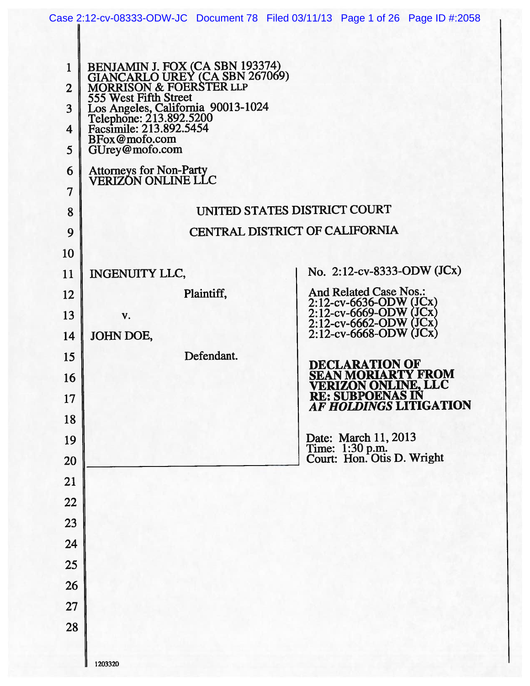|                                                                                            |                                                                                                                                                                                                                                                                                                       | Case 2:12-cv-08333-ODW-JC Document 78 Filed 03/11/13 Page 1 of 26 Page ID #:2058        |
|--------------------------------------------------------------------------------------------|-------------------------------------------------------------------------------------------------------------------------------------------------------------------------------------------------------------------------------------------------------------------------------------------------------|-----------------------------------------------------------------------------------------|
|                                                                                            |                                                                                                                                                                                                                                                                                                       |                                                                                         |
| $\mathbf{1}$<br>$\overline{2}$<br>3<br>$\overline{\mathbf{4}}$<br>5<br>6<br>$\overline{7}$ | BENJAMIN J. FOX (CA SBN 193374)<br>GIANCARLO UREY (CA SBN 267069)<br>MORRISON & FOERSTER LLP<br>555 West Fifth Street<br>Los Angeles, California 90013-1024<br>Telephone: 213.892.5200<br>Facsimile: 213.892.5454<br>BFox@mofo.com<br>GUrey@mofo.com<br>Attorneys for Non-Party<br>VERIZON ONLINE LLC |                                                                                         |
| 8                                                                                          |                                                                                                                                                                                                                                                                                                       | UNITED STATES DISTRICT COURT                                                            |
| 9                                                                                          |                                                                                                                                                                                                                                                                                                       | CENTRAL DISTRICT OF CALIFORNIA                                                          |
| 10                                                                                         |                                                                                                                                                                                                                                                                                                       |                                                                                         |
| 11                                                                                         | <b>INGENUITY LLC,</b>                                                                                                                                                                                                                                                                                 | No. 2:12-cv-8333-ODW (JCx)                                                              |
| 12                                                                                         | Plaintiff,                                                                                                                                                                                                                                                                                            | <b>And Related Case Nos.:</b>                                                           |
| 13                                                                                         | V.                                                                                                                                                                                                                                                                                                    | 2:12-cv-6636-ODW (JCx)<br>2:12-cv-6669-ODW (JCx)<br>2:12-cv-6669-ODW (JCx)              |
| 14                                                                                         | JOHN DOE,                                                                                                                                                                                                                                                                                             | $2:12$ -cv-6668-ODW (JCx)                                                               |
| 15                                                                                         | Defendant.                                                                                                                                                                                                                                                                                            | <b>DECLARATION OF</b>                                                                   |
| 16                                                                                         |                                                                                                                                                                                                                                                                                                       | SEAN MORIARTY FROM<br>VERIZON ONLINE, LLC<br>RE: SUBPOENAS IN<br>AF HOLDINGS LITIGATION |
| 17                                                                                         |                                                                                                                                                                                                                                                                                                       |                                                                                         |
| 18                                                                                         |                                                                                                                                                                                                                                                                                                       |                                                                                         |
| 19<br>20                                                                                   |                                                                                                                                                                                                                                                                                                       | Date: March 11, 2013<br>Time: 1:30 p.m.<br>Court: Hon. Otis D. Wright                   |
| 21                                                                                         |                                                                                                                                                                                                                                                                                                       |                                                                                         |
| 22                                                                                         |                                                                                                                                                                                                                                                                                                       |                                                                                         |
| 23                                                                                         |                                                                                                                                                                                                                                                                                                       |                                                                                         |
| 24                                                                                         |                                                                                                                                                                                                                                                                                                       |                                                                                         |
| 25                                                                                         |                                                                                                                                                                                                                                                                                                       |                                                                                         |
| 26                                                                                         |                                                                                                                                                                                                                                                                                                       |                                                                                         |
| 27                                                                                         |                                                                                                                                                                                                                                                                                                       |                                                                                         |
| 28                                                                                         |                                                                                                                                                                                                                                                                                                       |                                                                                         |
|                                                                                            |                                                                                                                                                                                                                                                                                                       |                                                                                         |
|                                                                                            | 1203320                                                                                                                                                                                                                                                                                               |                                                                                         |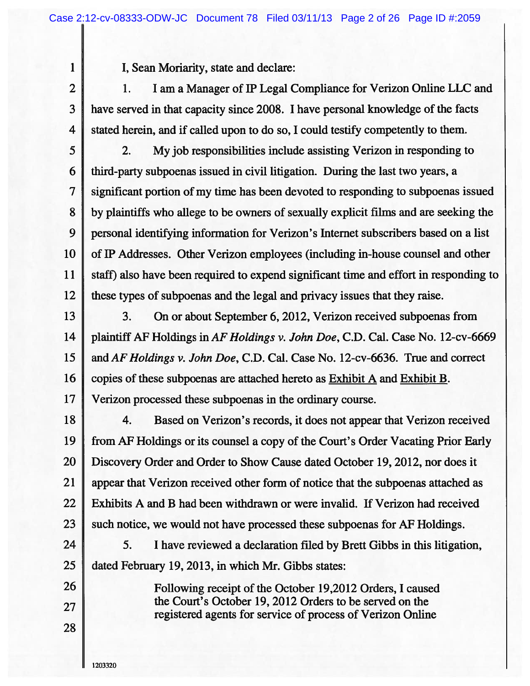$\mathbf{1}$ 

I, Sean Moriarity, state and declare:

 $\overline{2}$ I am a Manager of IP Legal Compliance for Verizon Online LLC and 1. 3 have served in that capacity since 2008. I have personal knowledge of the facts  $\overline{4}$ stated herein, and if called upon to do so, I could testify competently to them.

5  $2.$ My job responsibilities include assisting Verizon in responding to 6 third-party subpoenas issued in civil litigation. During the last two years, a 7 significant portion of my time has been devoted to responding to subpoenas issued 8 by plaintiffs who allege to be owners of sexually explicit films and are seeking the 9 personal identifying information for Verizon's Internet subscribers based on a list 10 of IP Addresses. Other Verizon employees (including in-house counsel and other 11 staff) also have been required to expend significant time and effort in responding to 12 these types of subpoenas and the legal and privacy issues that they raise.

13

3. On or about September 6, 2012, Verizon received subpoenas from 14 plaintiff AF Holdings in AF Holdings v. John Doe, C.D. Cal. Case No. 12-cv-6669 15 and AF Holdings v. John Doe, C.D. Cal. Case No. 12-cv-6636. True and correct 16 copies of these subpoenas are attached hereto as Exhibit A and Exhibit B. 17 Verizon processed these subpoenas in the ordinary course.

18 4. Based on Verizon's records, it does not appear that Verizon received 19 from AF Holdings or its counsel a copy of the Court's Order Vacating Prior Early 20 Discovery Order and Order to Show Cause dated October 19, 2012, nor does it 21 appear that Verizon received other form of notice that the subpoenas attached as 22 Exhibits A and B had been withdrawn or were invalid. If Verizon had received 23 such notice, we would not have processed these subpoenas for AF Holdings.

24 5. I have reviewed a declaration filed by Brett Gibbs in this litigation, 25 dated February 19, 2013, in which Mr. Gibbs states:

> Following receipt of the October 19,2012 Orders, I caused the Court's October 19, 2012 Orders to be served on the registered agents for service of process of Verizon Online

26

27

28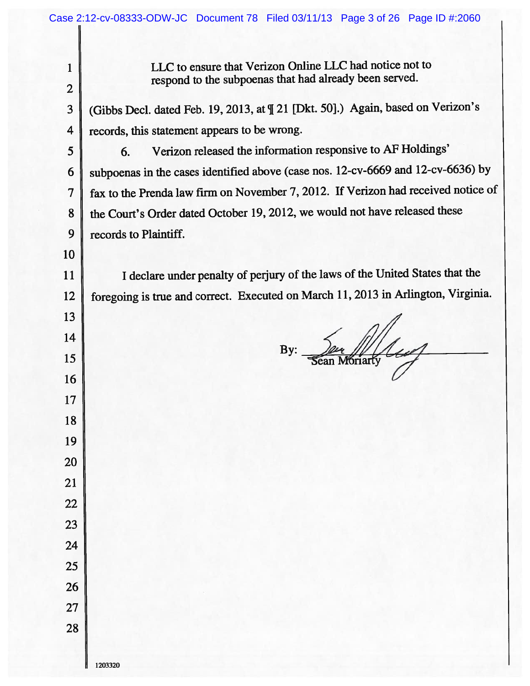| 1              | LLC to ensure that Verizon Online LLC had notice not to<br>respond to the subpoenas that had already been served. |
|----------------|-------------------------------------------------------------------------------------------------------------------|
| $\overline{2}$ |                                                                                                                   |
| 3              | (Gibbs Decl. dated Feb. 19, 2013, at [[ 21 [Dkt. 50].) Again, based on Verizon's                                  |
| 4              | records, this statement appears to be wrong.                                                                      |
| 5              | Verizon released the information responsive to AF Holdings'<br>6.                                                 |
| 6              | subpoenas in the cases identified above (case nos. 12-cv-6669 and 12-cv-6636) by                                  |
| 7              | fax to the Prenda law firm on November 7, 2012. If Verizon had received notice of                                 |
| 8              | the Court's Order dated October 19, 2012, we would not have released these                                        |
| 9              | records to Plaintiff.                                                                                             |
| 10             |                                                                                                                   |
| 11             | I declare under penalty of perjury of the laws of the United States that the                                      |
| 12             | foregoing is true and correct. Executed on March 11, 2013 in Arlington, Virginia.                                 |
| 13             |                                                                                                                   |
| 14             |                                                                                                                   |
| 15             | By:<br><b>Moriarty</b><br>Sean                                                                                    |
| 16             |                                                                                                                   |
| 17             |                                                                                                                   |
| 18             |                                                                                                                   |
| 19             |                                                                                                                   |
| 20             |                                                                                                                   |
| 21             |                                                                                                                   |
| 22             |                                                                                                                   |
| 23             |                                                                                                                   |
| 24             |                                                                                                                   |
| 25             |                                                                                                                   |
| 26             |                                                                                                                   |
| 27             |                                                                                                                   |
| 28             |                                                                                                                   |
|                |                                                                                                                   |
|                | 1203320                                                                                                           |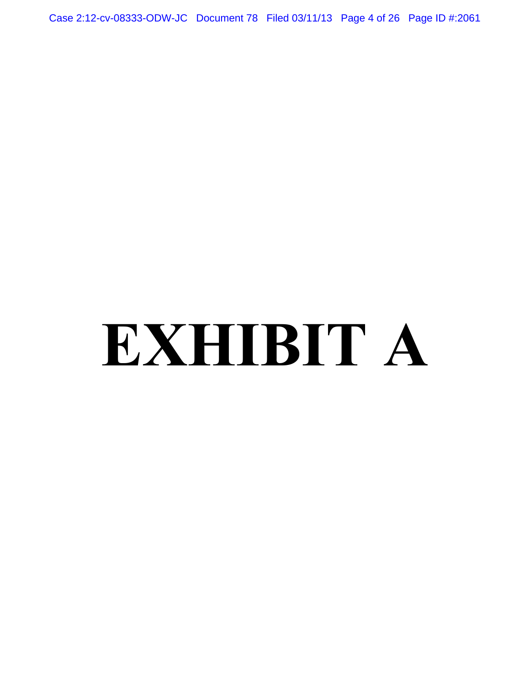Case 2:12-cv-08333-ODW-JC Document 78 Filed 03/11/13 Page 4 of 26 Page ID #:2061

# **EXHIBIT A**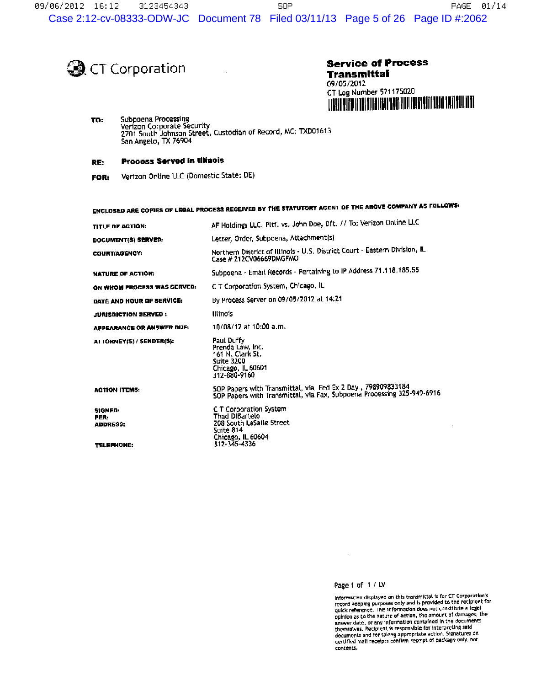

# **Service of Process** Transmittal 09/05/2012 CT Log Number 521175020

Subpoena Processing TO: Verizon Corporate Security 2701 South Johnson Street, Custodian of Record, MC: TXD01613<br>San Angelo, TX 76904

#### **Process Served in Illinois** RE:

Verizon Online LLC (Domestic State: DE) FOR:

ENCLOSED ARE COPIES OF LEGAL PROCESS RECEIVED BY THE STATUTORY AGENT OF THE ABOVE COMPANY AS FOLLOWS: AF Holdings LLC, Pltf. vs. John Doe, Oft. // To: Verizon Online LLC TITLE OF ACTION: Letter, Order, Subpoena, Attachment(s) DOCUMENT(S) SERVED: Northern District of Illinois - U.S. District Court - Eastern Division, IL COURT/AGENCY: Case # 212CV06669DMGFMO Subpoena - Email Records - Pertaining to IP Address 71.118.185.55 **NATURE OF ACTION:** C T Corporation System, Chicago, IL ON WHOM PROCESS WAS SERVED: By Process Server on 09/05/2012 at 14:21 DATE AND HOUR OF SERVICE: **Illinois JURISDICTION SERVED:** 10/08/12 at 10:00 a.m. **APPEARANCE OR ANSWER DUE:** ATTORNEY(S) / SENDER(S): Paul Duffy Prenda Law, Inc.<br>161 N. Clark St. **Suite 3200** Chicago, IL 60601<br>312-880-9160 SOP Papers with Transmittal, via Fed Ex 2 Day , 798909833184<br>SOP Papers with Transmittal, via Fax, Subpoena Processing 325-949-6916 **ACTION ITEMS:** C T Corporation System<br>Thad DiBartelo SIGNED: PER: 208 South LaSalle Street ADDRESS: Suite 814 Chicago, IL 60604<br>312-345-4336 **TELEPHONE:** 

# Page 1 of 1 / LV

Information displayed on this transmittal is for CT Corporation's<br>record keeping purposes only and is provided to the recipient for<br>quick reference. This information does not constitute a legal quick reterence. This information coes not constitute a tight<br>option as to the nature of action, the amount of damages, the<br>answer date, or any information contained in the documents<br>themaelves. Recipient is responsible fo certified mail receipts confirm receipt of package only, not contents.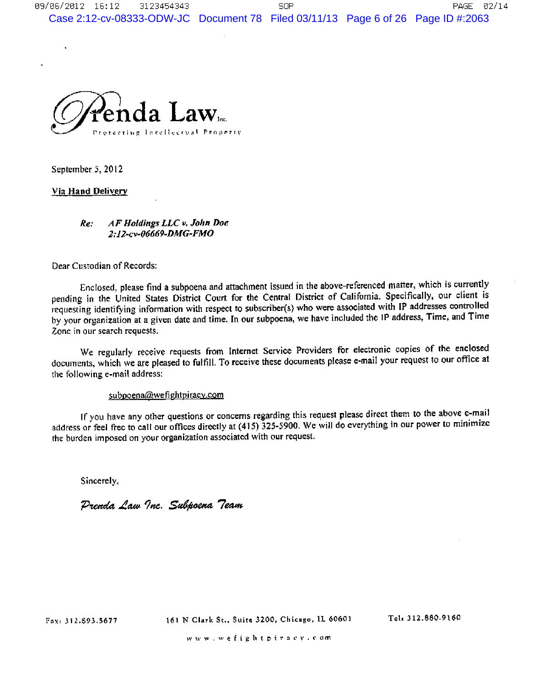

September 5, 2012

k.

# Via Hand Delivery

### AF Holdings LLC v. John Doe Re: 2:12-cv-06669-DMG-FMO

Dear Custodian of Records:

Enclosed, please find a subpoena and attachment issued in the above-referenced matter, which is currently pending in the United States District Court for the Central District of California. Specifically, our client is requesting identifying information with respect to subscriber(s) who were associated with IP addresses controlled by your organization at a given date and time. In our subpoena, we have included the IP address, Time, and Time Zone in our search requests.

We regularly receive requests from Internet Service Providers for electronic copies of the enclosed documents, which we are pleased to fulfill. To receive these documents please e-mail your request to our office at the following e-mail address:

## subpoena@wefightpiracy.com

If you have any other questions or concerns regarding this request please direct them to the above e-mail address or feel free to call our offices directly at (415) 325-5900. We will do everything in our power to minimize the burden imposed on your organization associated with our request.

Sincerely,

Prenda Law Inc. Subpoena Team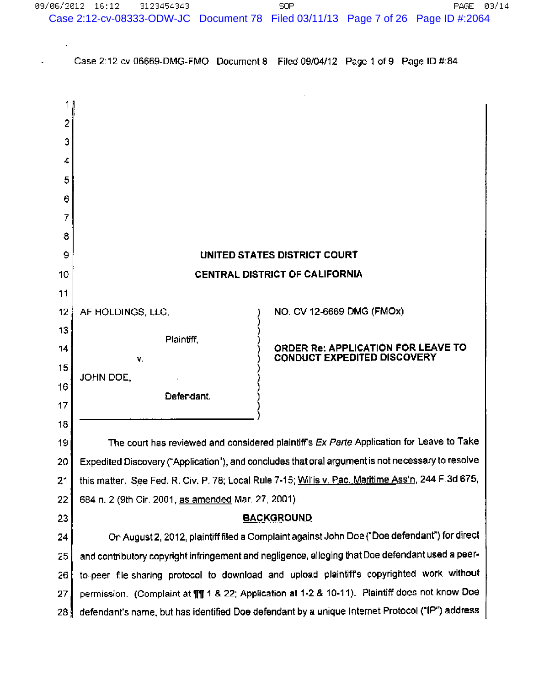Case 2:12-cv-06669-DMG-FMO Document 8 Filed 09/04/12 Page 1 of 9 Page ID #:84

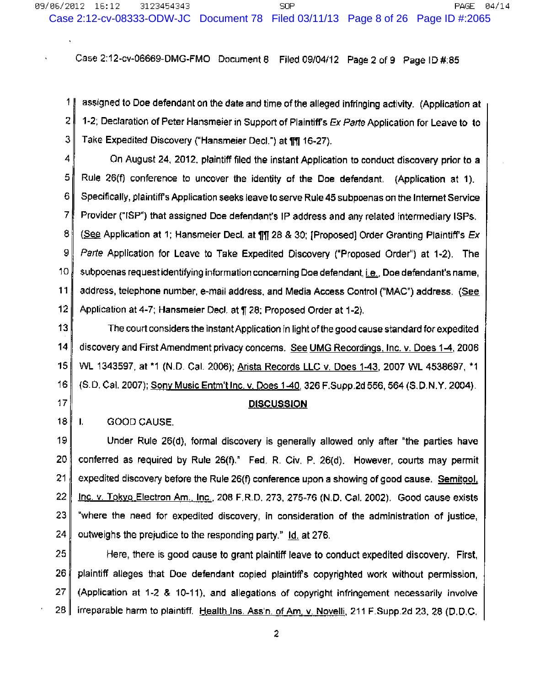Case 2:12-cv-06669-DMG-FMO Document 8 Filed 09/04/12 Page 2 of 9 Page ID #:85

 $1<sub>1</sub>$ assigned to Doe defendant on the date and time of the alleged infringing activity. (Application at  $\overline{2}$ 1-2; Declaration of Peter Hansmeier in Support of Plaintiff's Ex Parte Application for Leave to to 3. Take Expedited Discovery ("Hansmeier Decl.") at 111 16-27).

4 On August 24, 2012, plaintiff filed the instant Application to conduct discovery prior to a 5 Rule 26(f) conference to uncover the identity of the Doe defendant. (Application at 1). 6 Specifically, plaintiff's Application seeks leave to serve Rule 45 subpoenas on the Internet Service  $\overline{7}$ Provider ("ISP") that assigned Doe defendant's IP address and any related intermediary ISPs. 8. (See Application at 1; Hansmeier Decl. at ¶1 28 & 30; [Proposed] Order Granting Plaintiff's Ex 9 Parte Application for Leave to Take Expedited Discovery ("Proposed Order") at 1-2). The  $10<sub>1</sub>$ subpoenas request identifying information concerning Doe defendant, i.e., Doe defendant's name, 11 address, telephone number, e-mail address, and Media Access Control ("MAC") address. (See  $12<sub>2</sub>$ Application at 4-7; Hansmeier Decl. at ¶ 28; Proposed Order at 1-2).

 $13$ The court considers the instant Application in light of the good cause standard for expedited  $14$ discovery and First Amendment privacy concerns. See UMG Recordings, Inc. v. Does 1-4, 2006  $15<sup>1</sup>$ WL 1343597, at \*1 (N.D. Cal. 2006); Arista Records LLC v. Does 1-43, 2007 WL 4538697, \*1  $16|$ (S.D. Cal. 2007); Sony Music Entm't Inc. v. Does 1-40, 326 F. Supp.2d 556, 564 (S.D.N.Y. 2004).  $17<sub>1</sub>$ <u>DISCUSSION</u>

18 ∥  $\mathbf{L}$ GOOD CAUSE.

19 Under Rule 26(d), formal discovery is generally allowed only after "the parties have 20 conferred as required by Rule 26(f)." Fed. R. Civ. P. 26(d). However, courts may permit  $21$ expedited discovery before the Rule 26(f) conference upon a showing of good cause. Semitool, 22 Inc. v. Tokyo Electron Am., Inc., 208 F.R.D. 273, 275-76 (N.D. Cal. 2002). Good cause exists 23 "where the need for expedited discovery, in consideration of the administration of justice, outweighs the prejudice to the responding party." Id. at 276. 24

25 Here, there is good cause to grant plaintiff leave to conduct expedited discovery. First, 26 plaintiff alleges that Doe defendant copied plaintiffs copyrighted work without permission, 27 (Application at 1-2 & 10-11), and allegations of copyright infringement necessarily involve 28 irreparable harm to plaintiff. Health Ins. Ass'n. of Am, v. Novelli, 211 F.Supp.2d 23, 28 (D.D.C.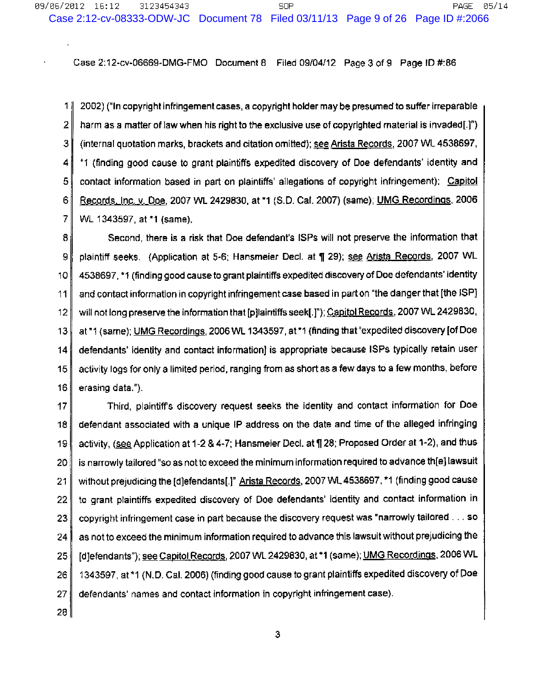Case 2:12-cv-06669-DMG-FMO Document 8 Filed 09/04/12 Page 3 of 9 Page ID #:86

11 2002) ("In copyright infringement cases, a copyright holder may be presumed to suffer irreparable 2 harm as a matter of law when his right to the exclusive use of copyrighted material is invaded[.]") 3 (internal quotation marks, brackets and citation omitted); see Arista Records, 2007 WL 4538697, \*1 (finding good cause to grant plaintiffs expedited discovery of Doe defendants' identity and 4 5. contact information based in part on plaintiffs' allegations of copyright infringement); Capitol 6 <u>Records, Inc. v. Doe, 2007 WL 2429830, at \*1 (S.D. Cal. 2007) (same); UMG Recordings, 2006</u> 7 WL 1343597, at \*1 (same).

8 Second, there is a risk that Doe defendant's ISPs will not preserve the information that 9 plaintiff seeks. (Application at 5-6; Hansmeier Decl. at ¶ 29); see Arista Records, 2007 WL  $10$ 4538697, \*1 (finding good cause to grant plaintiffs expedited discovery of Doe defendants' identity and contact information in copyright infringement case based in part on "the danger that [the ISP]  $11$ will not long preserve the information that [p]laintiffs seek[.]"); Capitol Records, 2007 WL 2429830,  $12$ at \*1 (same); UMG Recordings, 2006 WL 1343597, at \*1 (finding that "expedited discovery [of Doe  $13$ defendants' identity and contact information) is appropriate because ISPs typically retain user 14 activity logs for only a limited period, ranging from as short as a few days to a few months, before 15 16 erasing data.").

 $17$ Third, plaintiff's discovery request seeks the identity and contact information for Doe defendant associated with a unique IP address on the date and time of the alleged infringing 18 activity, (see Application at 1-2 & 4-7; Hansmeier Decl. at ¶ 28; Proposed Order at 1-2), and thus 19 is narrowly tailored "so as not to exceed the minimum information required to advance th[e] lawsuit 20 without prejudicing the [d]efendants[.]" Arista Records, 2007 WL 4538697, \*1 (finding good cause  $21$ to grant plaintiffs expedited discovery of Doe defendants' identity and contact information in 22. copyright infringement case in part because the discovery request was "narrowly tailored . . . so 23 24 as not to exceed the minimum information required to advance this lawsuit without prejudicing the [d]efendants"); see Capitol Records, 2007 WL 2429830, at \*1 (same); UMG Recordings, 2006 WL 25 1343597, at \*1 (N.D. Cal. 2006) (finding good cause to grant plaintiffs expedited discovery of Doe 26 27 defendants' names and contact information in copyright infringement case).

 $28$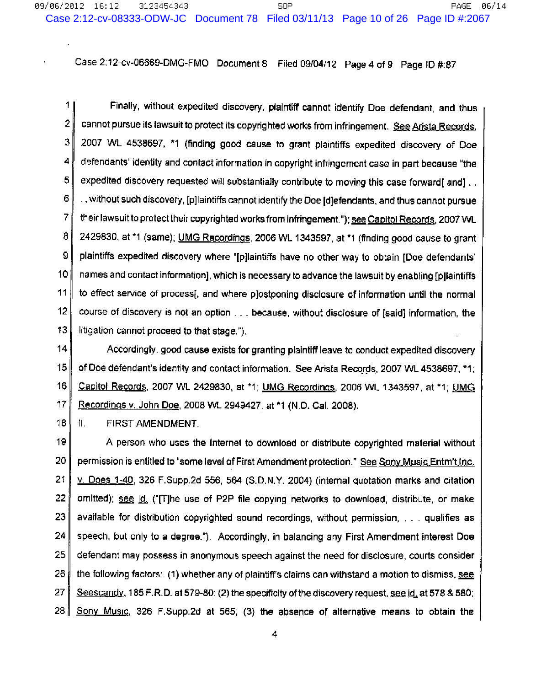Case 2:12-cv-06669-DMG-FMO Document 8 Filed 09/04/12 Page 4 of 9 Page ID #:87

 $11$ Finally, without expedited discovery, plaintiff cannot identify Doe defendant, and thus 2 cannot pursue its lawsuit to protect its copyrighted works from infringement. See Arista Records, 3 2007 WL 4538697, \*1 (finding good cause to grant plaintiffs expedited discovery of Doe 4 defendants' identity and contact information in copyright infringement case in part because "the 5 expedited discovery requested will substantially contribute to moving this case forward[ and]... 6 y without such discovery, [p]laintiffs cannot identify the Doe [d]efendants, and thus cannot pursue  $\overline{7}$ their lawsuit to protect their copyrighted works from infringement."); see Capitol Records, 2007 WL 8 2429830, at \*1 (same); UMG Recordings, 2006 WL 1343597, at \*1 (finding good cause to grant 9 plaintiffs expedited discovery where "[p]laintiffs have no other way to obtain [Doe defendants' 10 names and contact information], which is necessary to advance the lawsuit by enabling [p]laintiffs  $11$ to effect service of process[, and where p]ostponing disclosure of information until the normal  $12<sub>2</sub>$ course of discovery is not an option . . . because, without disclosure of [said] information, the 13 litigation cannot proceed to that stage.").

 $|4|$ Accordingly, good cause exists for granting plaintiff leave to conduct expedited discovery  $15<sup>1</sup>$ of Doe defendant's identity and contact information. See Arista Records, 2007 WL 4538697, \*1; 16 Capitol Records, 2007 WL 2429830, at \*1; UMG Recordings, 2006 WL 1343597, at \*1; UMG  $17$ Recordings v. John Doe, 2008 WL 2949427, at \*1 (N.D. Cal. 2008).

18 扎. FIRST AMENDMENT.

19 A person who uses the Internet to download or distribute copyrighted material without 20 permission is entitled to "some level of First Amendment protection." See Sony Music Entm't Inc.  $21$ v. Does 1-40, 326 F.Supp.2d 556, 564 (S.D.N.Y. 2004) (internal quotation marks and citation 22 omitted); see id. ("[T]he use of P2P file copying networks to download, distribute, or make 23 available for distribution copyrighted sound recordings, without permission, . . . qualifies as 24 speech, but only to a degree."). Accordingly, in balancing any First Amendment interest Doe 25 defendant may possess in anonymous speech against the need for disclosure, courts consider 26 the following factors: (1) whether any of plaintiff's claims can withstand a motion to dismiss, see 27 Seescandy, 185 F.R.D. at 579-80; (2) the specificity of the discovery request, see id, at 578 & 580; 28 Sony Music, 326 F.Supp.2d at 565; (3) the absence of alternative means to obtain the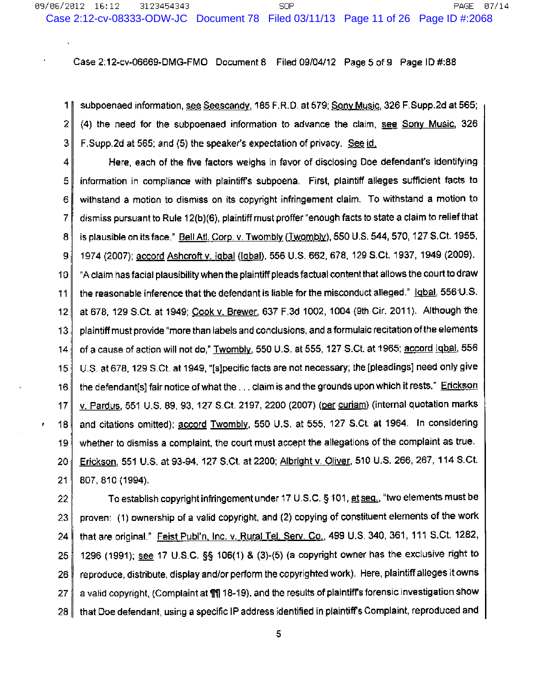Case 2:12-cv-06669-DMG-FMO Document 8 Filed 09/04/12 Page 5 of 9 Page ID #:88

1 | subpoenaed information, see Seescandy, 185 F.R.D. at 579; Sony Music, 326 F.Supp.2d at 565; 2 (4) the need for the subpoenaed information to advance the claim, see Sony Music, 326 3 F.Supp.2d at 565; and (5) the speaker's expectation of privacy. See id.

Here, each of the five factors weighs in favor of disclosing Doe defendant's identifying 4 information in compliance with plaintiff's subpoena. First, plaintiff alleges sufficient facts to 5 6 withstand a motion to dismiss on its copyright infringement claim. To withstand a motion to 7 dismiss pursuant to Rule 12(b)(6), plaintiff must proffer "enough facts to state a claim to relief that is plausible on its face," Bell Atl. Corp. v. Twombly (Twombly), 550 U.S. 544, 570, 127 S.Ct. 1955, 8. 1974 (2007); accord Ashcroft v. Igbal (Igbal), 556 U.S. 662, 678, 129 S.Ct. 1937, 1949 (2009). 9 "A claim has facial plausibility when the plaintiff pleads factual content that allows the court to draw 10 the reasonable inference that the defendant is liable for the misconduct alleged." Igbal, 556 U.S. 11 at 678, 129 S.Ct. at 1949; Cook v. Brewer, 637 F.3d 1002, 1004 (9th Cir. 2011). Although the  $12<sub>2</sub>$ plaintiff must provide "more than labels and conclusions, and a formulaic recitation of the elements  $13$ of a cause of action will not do," Twombly, 550 U.S. at 555, 127 S.Ct. at 1965; accord lobal, 556 14 U.S. at 678, 129 S.Ct. at 1949, "[s]pecific facts are not necessary; the [pleadings] need only give  $15<sub>1</sub>$ the defendant[s] fair notice of what the . . . claim is and the grounds upon which it rests." Erickson 16 v. Pardus, 551 U.S. 89, 93, 127 S.Ct. 2197, 2200 (2007) (per curiam) (internal quotation marks  $17$ and citations omitted); accord Twombly, 550 U.S. at 555, 127 S.Ct. at 1964. In considering 18 whether to dismiss a complaint, the court must accept the allegations of the complaint as true. 19 Erickson, 551 U.S. at 93-94, 127 S.Ct. at 2200; Albright v. Oliver, 510 U.S. 266, 267, 114 S.Ct. 20 21 807.810 (1994).

ł

To establish copyright infringement under 17 U.S.C. § 101, et seq., "two elements must be 22 proven: (1) ownership of a valid copyright, and (2) copying of constituent elements of the work 23 that are original." Feist Publ'n, Inc. v. Rural Tel. Serv. Co., 499 U.S. 340, 361, 111 S.Ct. 1282, 24 1296 (1991); see 17 U.S.C. §§ 106(1) & (3)-(5) (a copyright owner has the exclusive right to 25 reproduce, distribute, display and/or perform the copyrighted work). Here, plaintiff alleges it owns 26 a valid copyright, (Complaint at 111 18-19), and the results of plaintiff's forensic investigation show 27 that Doe defendant, using a specific IP address identified in plaintiff's Complaint, reproduced and 28 I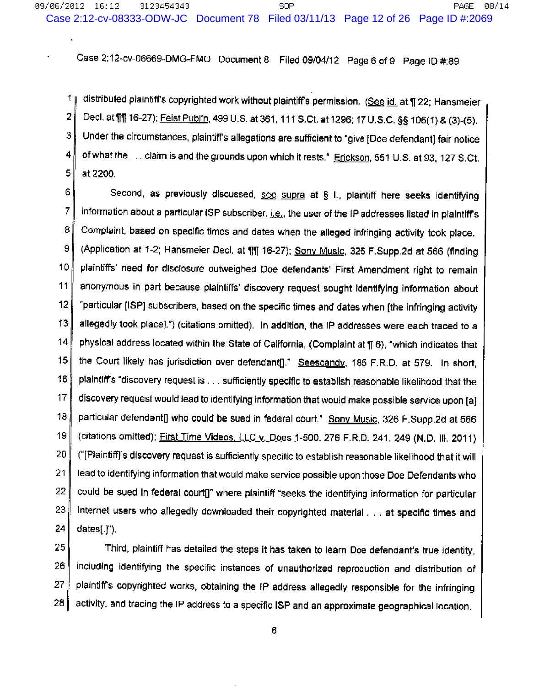Case 2:12-cv-06669-DMG-FMO Document 8 Filed 09/04/12 Page 6 of 9 Page ID #:89

distributed plaintiff's copyrighted work without plaintiff's permission. (See id. at 122; Hansmeier  $\mathbf{1}$ 2 Decl. at fiff 16-27); Feist Publ'n, 499 U.S. at 361, 111 S.Ct. at 1296; 17 U.S.C. §§ 106(1) & (3)-(5). 3 Under the circumstances, plaintiff's allegations are sufficient to "give [Doe defendant] fair notice 4 of what the ... claim is and the grounds upon which it rests." Erickson, 551 U.S. at 93, 127 S.Ct. 5 at 2200.

6. Second, as previously discussed, see supra at § 1., plaintiff here seeks identifying  $\overline{7}$ information about a particular ISP subscriber, i.e., the user of the IP addresses listed in plaintiff's 8 Complaint, based on specific times and dates when the alleged infringing activity took place. 9 (Application at 1-2; Hansmeier Decl. at 111 16-27); Sony Music, 326 F.Supp.2d at 566 (finding 10 plaintiffs' need for disclosure outweighed Doe defendants' First Amendment right to remain  $11$ anonymous in part because plaintiffs' discovery request sought identifying information about  $12<sub>12</sub>$ "particular (ISP) subscribers, based on the specific times and dates when [the infringing activity  $13$ allegedly took place].") (citations omitted). In addition, the IP addresses were each traced to a  $14$ physical address located within the State of California, (Complaint at ¶ 6), "which indicates that 15 the Court likely has jurisdiction over defendant[]." Seescandy, 185 F.R.D. at 579. In short, 16 plaintiff's "discovery request is . . . sufficiently specific to establish reasonable likelihood that the  $17$ discovery request would lead to identifying information that would make possible service upon [a] 18 particular defendant[] who could be sued in federal court." Sony Music, 326 F.Supp.2d at 566  $19$ (citations omitted); First Time Videos, LLC v. Does 1-500, 276 F.R.D. 241, 249 (N.D. III, 2011) 20 ("[Plaintiff]'s discovery request is sufficiently specific to establish reasonable likelihood that it will 21 lead to identifying information that would make service possible upon those Doe Defendants who 22 could be sued in federal court[]" where plaintiff "seeks the identifying information for particular 23 Internet users who allegedly downloaded their copyrighted material . . . at specific times and  $dates[]')$ . 24

25 Third, plaintiff has detailed the steps it has taken to learn Doe defendant's true identity, 26 including identifying the specific instances of unauthorized reproduction and distribution of 27 plaintiff's copyrighted works, obtaining the IP address allegedly responsible for the infringing 28. activity, and tracing the IP address to a specific ISP and an approximate geographical location.

6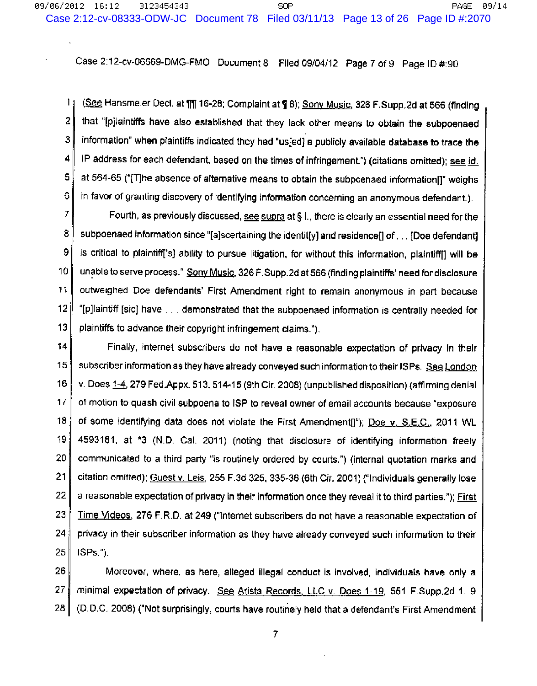Case 2:12-cv-06669-DMG-FMO Document 8 Filed 09/04/12 Page 7 of 9 Page ID #:90

 $11$ (See Hansmeier Decl. at 111 16-28; Complaint at 1 6); Sony Music, 326 F.Supp.2d at 566 (finding  $\overline{2}$ that "[p]laintiffs have also established that they lack other means to obtain the subpoenaed з. information" when plaintiffs indicated they had "us[ed] a publicly available database to trace the 4 IP address for each defendant, based on the times of infringement.") (citations omitted); see id. 5. at 564-65 ("[T]he absence of alternative means to obtain the subpoenaed information[]" weighs 6 in favor of granting discovery of identifying information concerning an anonymous defendant.).

7 Fourth, as previously discussed, see supra at § I., there is clearly an essential need for the 8 subpoenaed information since "[a]scertaining the identit[y] and residence[] of . . . [Doe defendant] 9 is critical to plaintiff['s] ability to pursue litigation, for without this information, plaintiff[] will be 10 unable to serve process." Sony Music, 326 F. Supp. 2d at 566 (finding plaintiffs' need for disclosure  $11$ outweighed Doe defendants' First Amendment right to remain anonymous in part because  $12<sup>°</sup>$ "[p]laintiff [sic] have . . . demonstrated that the subpoenaed information is centrally needed for  $13<sup>°</sup>$ plaintiffs to advance their copyright infringement claims.").

 $14$ Finally, internet subscribers do not have a reasonable expectation of privacy in their 15 subscriber information as they have already conveyed such information to their ISPs. See London 16 y. Does 1-4, 279 Fed.Appx. 513, 514-15 (9th Cir. 2008) (unpublished disposition) (affirming denial  $17<sub>1</sub>$ of motion to quash civil subpoena to ISP to reveal owner of email accounts because "exposure 18 of some identifying data does not violate the First Amendment[]"); Doe v. S.E.C., 2011 WL 19. 4593181, at \*3 (N.D. Cal. 2011) (noting that disclosure of identifying information freely 20 communicated to a third party "is routinely ordered by courts.") (internal quotation marks and 21 citation omitted); Guest v. Leis, 255 F.3d 325, 335-36 (6th Cir. 2001) ("Individuals generally lose 22 a reasonable expectation of privacy in their information once they reveal it to third parties."); First 23. Time Videos, 276 F.R.D. at 249 ("Internet subscribers do not have a reasonable expectation of 24 privacy in their subscriber information as they have already conveyed such information to their 25  $ISPs$ .").

26 Moreover, where, as here, alleged illegal conduct is involved, individuals have only a 27 minimal expectation of privacy. See Arista Records, LLC v. Does 1-19, 551 F.Supp.2d 1, 9 28 (D.D.C. 2008) ("Not surprisingly, courts have routinely held that a defendant's First Amendment

 $\overline{7}$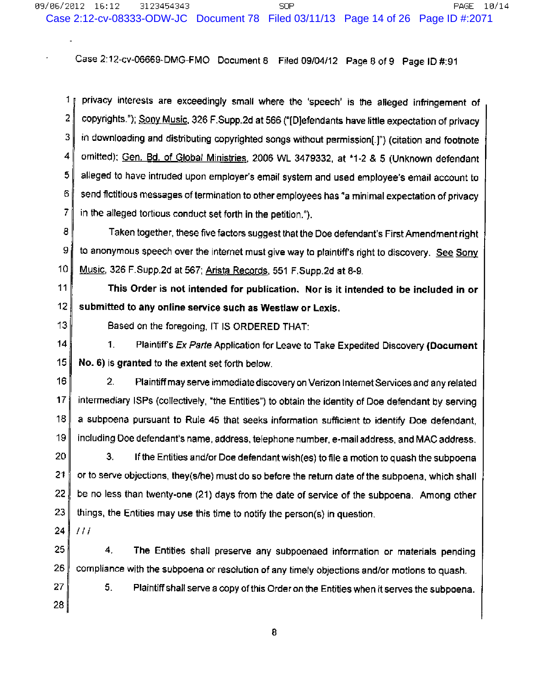Case 2:12-cv-06669-DMG-FMO Document 8 Filed 09/04/12 Page 8 of 9 Page ID #:91

 $1<sub>1</sub>$ privacy interests are exceedingly small where the 'speech' is the alleged infringement of  $\overline{2}$ copyrights."); Sony Music, 326 F.Supp.2d at 566 ("[D]efendants have little expectation of privacy 3. in downloading and distributing copyrighted songs without permission[.]") (citation and footnote 4 omitted); Gen. Bd. of Global Ministries, 2006 WL 3479332, at \*1-2 & 5 (Unknown defendant 5 alleged to have intruded upon employer's email system and used employee's email account to 6 send fictitious messages of termination to other employees has "a minimal expectation of privacy  $\overline{7}$ in the alleged tortious conduct set forth in the petition.").

8 Taken together, these five factors suggest that the Doe defendant's First Amendment right 9 to anonymous speech over the internet must give way to plaintiff's right to discovery. See Sony  $10<sub>10</sub>$ Music, 326 F.Supp.2d at 567; Arista Records, 551 F.Supp.2d at 8-9.

 $11$ This Order is not intended for publication. Nor is it intended to be included in or  $12<sub>2</sub>$ submitted to any online service such as Westlaw or Lexis.

 $13$ 

Based on the foregoing, IT IS ORDERED THAT:

 $14$ 1. Plaintiff's Ex Parte Application for Leave to Take Expedited Discovery (Document  $15<sup>1</sup>$ No. 6) is granted to the extent set forth below.

 $16$  $2.$ Plaintiff may serve immediate discovery on Verizon Internet Services and any related 17 intermediary ISPs (collectively, "the Entities") to obtain the identity of Doe defendant by serving 18 a subpoena pursuant to Rule 45 that seeks information sufficient to identify Doe defendant. 19 including Doe defendant's name, address, telephone number, e-mail address, and MAC address.

20 З. If the Entities and/or Doe defendant wish(es) to file a motion to quash the subpoena 21 or to serve objections, they(s/he) must do so before the return date of the subpoena, which shall 22 be no less than twenty-one (21) days from the date of service of the subpoena. Among other 23 things, the Entities may use this time to notify the person(s) in question.

24  $III$ 

25 4. The Entities shall preserve any subpoenaed information or materials pending 26 compliance with the subpoena or resolution of any timely objections and/or motions to quash.

27 5. Plaintiff shall serve a copy of this Order on the Entities when it serves the subpoena.

28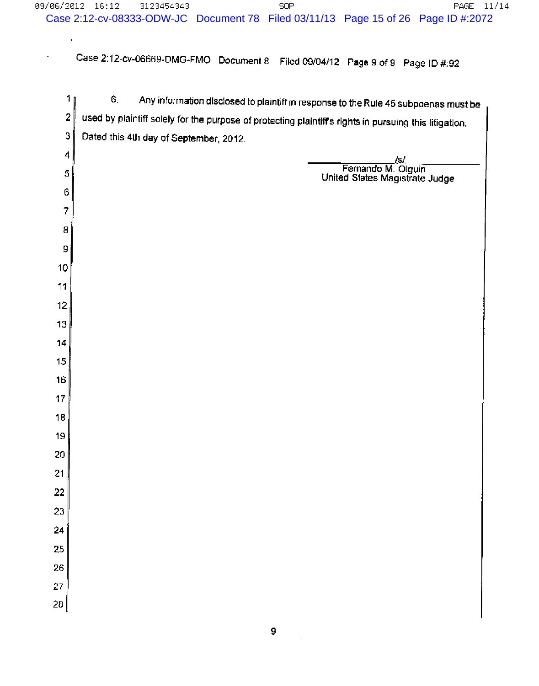Case 2:12-cv-06669-DMG-FMO Document 8 Filed 09/04/12 Page 9 of 9 Page ID #:92

l,

 $\hat{\mathbf{r}}$ 

| 1 (              | 6.<br>Any information disclosed to plaintiff in response to the Rule 45 subpoenas must be              |
|------------------|--------------------------------------------------------------------------------------------------------|
| $\boldsymbol{2}$ | used by plaintiff solely for the purpose of protecting plaintiff's rights in pursuing this litigation. |
| 3                | Dated this 4th day of September, 2012.                                                                 |
| 4                | <u>/s/</u>                                                                                             |
| 5                | Fernando M. Olguin<br>United States Magistrate Judge                                                   |
| 6                |                                                                                                        |
| $\overline{7}$   |                                                                                                        |
| 8                |                                                                                                        |
| 9                |                                                                                                        |
| 10               |                                                                                                        |
| 11               |                                                                                                        |
| $12 \,$          |                                                                                                        |
| 13               |                                                                                                        |
| 14               |                                                                                                        |
| 15               |                                                                                                        |
| 16               |                                                                                                        |
| 17               |                                                                                                        |
| 18               |                                                                                                        |
| 19               |                                                                                                        |
| 20               |                                                                                                        |
| 21               |                                                                                                        |
| 22               |                                                                                                        |
| 23               |                                                                                                        |
| 24               |                                                                                                        |
| 25               |                                                                                                        |
| 26               |                                                                                                        |
| 27               |                                                                                                        |
| 28               |                                                                                                        |
|                  |                                                                                                        |

 $\frac{1}{2}$  ,  $\frac{1}{2}$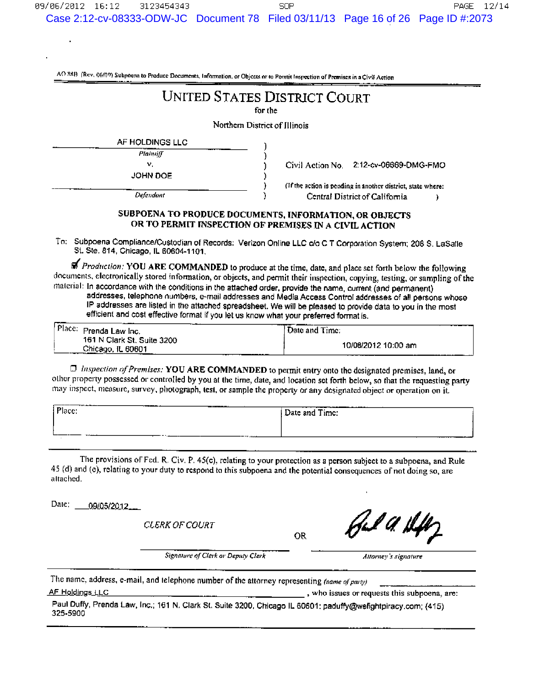AO 88B (Rev. 06/09) Subpoens to Produce Documents, Information, or Objects or to Permit Inspection of Premises in a Civil Action

# **UNITED STATES DISTRICT COURT**

for the

Northern District of Illinois

Ĩ, ٦

 $\mathcal{E}$ 

 $\mathcal{C}$ 

J.

ħ

| AF HOLDINGS LLC |  |
|-----------------|--|
| Plainniff       |  |
| ν.              |  |
| JOHN DOE        |  |
|                 |  |

Defendant

2:12-cv-06669-DMG-FMO Civil Action No.

(If the action is pending in another district, state where: Central District of California Ĭ.

# SUBPOENA TO PRODUCE DOCUMENTS, INFORMATION, OR OBJECTS OR TO PERMIT INSPECTION OF PREMISES IN A CIVIL ACTION

To: Subpoena Compliance/Custodian of Records: Verizon Online LLC c/o C T Corporation System; 208 S. LaSalle St. Ste. 814, Chicago, IL 60604-1101.

of Production: YOU ARE COMMANDED to produce at the time, date, and place set forth below the following documents, electronically stored information, or objects, and permit their inspection, copying, testing, or sampling of the material: In accordance with the conditions in the attached order, provide the name, current (and permanent)

addresses, telephone numbers, e-mail addresses and Media Access Control addresses of all persons whose IP addresses are listed in the attached spreadsheet. We will be pleased to provide data to you in the most efficient and cost effective format if you let us know what your preferred format is.

| Place: Prenda Law Inc.                          | 'Date and Time:     |
|-------------------------------------------------|---------------------|
| 161 N Clark St. Suite 3200<br>Chicago, IL 60601 | 10/08/2012 10:00 am |

 $\Box$  Inspection of Premises: YOU ARE COMMANDED to permit entry onto the designated premises, land, or other property possessed or controlled by you at the time, date, and location set forth below, so that the requesting party may inspect, measure, survey, photograph, test, or sample the property or any designated object or operation on it.

| The community of<br>Place: | Date and Time: |
|----------------------------|----------------|
|                            |                |
|                            | --------       |

The provisions of Fed. R. Civ. P. 45(c), relating to your protection as a person subject to a subpoena, and Rule 45 (d) and (e), relating to your duty to respond to this subpoena and the potential consequences of not doing so, are attached.

Date: 09/05/2012

**CLERK OF COURT** 

**OR** 

 $\mathscr{L}$ a fl

Signature of Clerk or Deputy Clerk

Allorney's signature

The name, address, e-mail, and telephone number of the attorney representing (name of party)

AF Holdings LLC

, who issues or requests this subpoena, are:

Paul Duffy, Prenda Law, Inc.; 161 N. Clark St. Suite 3200, Chicago IL 60601; paduffy@wefightpiracy.com; (415) 325-5900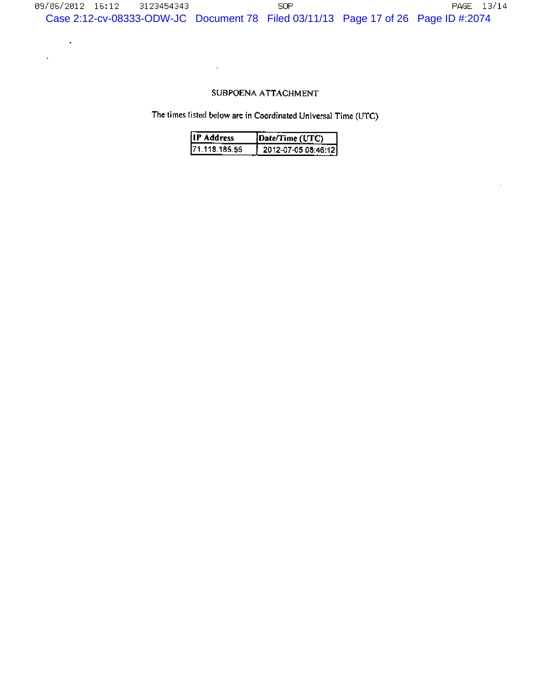# SUBPOENA ATTACHMENT

÷,

 $\hat{\mathbf{v}}$ 

 $\hat{\mathbf{r}}$ 

The times listed below are in Coordinated Universal Time (UTC)

| IIP Address    | [Date/Time (UTC)     |
|----------------|----------------------|
| 171.118.185.55 | 2012-07-05 08:46:121 |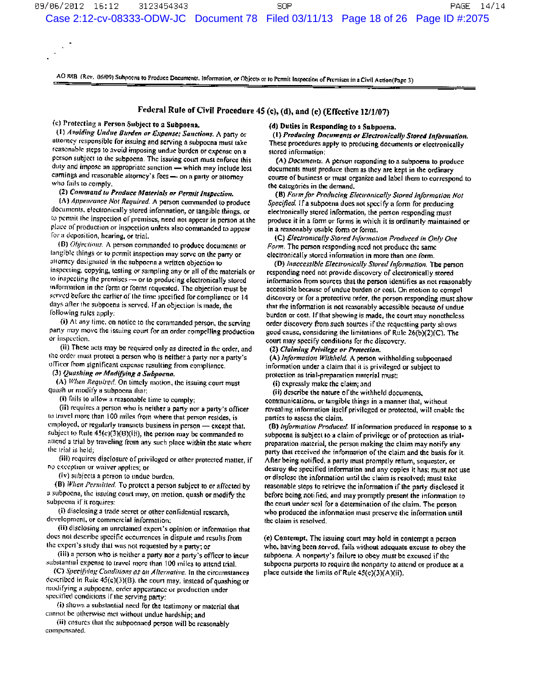AO 88B (Rev. 06/09) Subpoens to Produce Documents. Information, or Objects or to Permit Inspection of Premises in a Civil Action(Page 3)

# Federal Rule of Civil Procedure 45 (c), (d), and (e) (Effective 12/1/07)

(c) Protecting a Person Subject to a Subpoena.

(1) Avoiding Undue Burden or Expense; Sanctions. A party or attorney responsible for issuing and serving a subpoena must take reasonable steps to avoid imposing undue burden or expense on a person subject to the subpoena. The issuing court must enforce this duty and impose an appropriate sanction - which may include lost carnings and reasonable attorney's fees-on a party or attorney who fails to comply.

(2) Command to Produce Materials or Permit Inspection.

(A) Appearance Not Required. A person commanded to produce documents, electronically stored information, or tangible things, or to permit the inspection of premises, need not appear in person at the place of production or inspection unless also commanded to appear for a deposition, hearing, or trial.

(B) Objections. A person commanded to produce documents or tangible things or to permit inspection may serve on the party or attorney designated in the subpoena a written objection to inspecting, copying, testing or sampling any or all of the materials or to inspecting the premises - or to producing electronically stored information in the form or forms requested. The objection must be served before the carlier of the time specified for compliance or 14 days after the subpoent is served. If an objection is made, the following rules apply:

(i) At any time, on notice to the commanded person, the serving party may move the issuing court for an order compelling production or inspection.

(ii) These acts may be required only as directed in the order, and the order must protect a person who is neither a party nor a party's officer from significant expense resulting from compliance.

(3) Quashing or Modifying a Subpoeno.

(A) When Required. On timely motion, the issuing court must quash or modify a subpoena that:

(i) fails to allow a reasonable time to comply;

(ii) requires a person who is neither a party nor a party's officer to travel more than 100 miles from where that person resides, is employed, or regularly transacts business in person - except that, subject to Rule 45(c)(3)(B)(iii), the person may be commanded to attend a trial by traveling from any such place within the state where the trial is held:

(iii) requires disclosure of privileged or other protected matter, if no exception or waiver applies; or

(iv) subjects a person to undue burden.

(B) When Permitted. To protect a person subject to or affected by a subpoena, the issuing court may, on motion, quash or modify the subpoena if it requires:

(i) disclosing a trade secret or other confidential research, development, or commercial information;

(ii) disclosing an unretained expert's opinion or information that does not describe specific occurrences in dispute and results from the expert's study that was not requested by a party; or

(iii) a person who is neither a party nor a party's officer to incur substantial expense to travel more than 100 miles to attend trial.

(C) Specifying Conditions as an Alternative. In the circumstances described in Rule  $45(c)(3)(B)$ , the court may, instead of quashing or modifying a subpoena, order appearance or production under specified conditions if the serving party:

(i) shows a substantial need for the testimony or material that cannot be otherwise met without undue hardship; and

(ii) cusures that the subpoenaed person will be reasonably compensated.

## (d) Duties in Responding to a Subpoena.

(1) Producing Documents or Electronically Stored Information. These procedures apply to producing documents or electronically stored information:

(A) Documents. A person responding to a subpoena to produce documents must produce them as they are kept in the ordinary course of business or must organize and label them to correspond to the categories in the demand.

(B) Form for Producing Electronically Stored Information Not Specified. If a subpoena does not specify a form for producing electronically stored information, the person responding must produce it in a form or forms in which it is ordinarily maintained or in a reasonably usable form or forms.

(C) Electronically Stored Information Produced in Only One Form. The person responding need not produce the same electronically stored information in more than one form.

(D) Inaccessible Electronically Stored Information. The person responding need not provide discovery of electronically stored information from sources that the person identifies as not reasonably accessible because of undue burden or cost. On motion to compel discovery or for a protective order, the person responding must show that the information is not reasonably accessible because of undue burden or cost. If that showing is made, the court may nonetheless order discovery from such sources if the requesting party shows good cause, considering the limitations of Rule 26(b)(2)(C). The court may specify conditions for the discovery.

(2) Claiming Privilege or Protection.

(A) Information Withheld. A person withholding subpoenaed information under a claim that it is privileged or subject to protection as trial-preparation material must:

(i) expressly make the claim; and

(ii) describe the nature of the withheld documents, communications, or tangible things in a manner that, without revealing information itself privileged or protected, will enable the parties to assess the claim.

(B) Information Produced. If information produced in response to a subpoena is subject to a claim of privilege or of protection as trialpreparation material, the person making the claim may notify any party that received the information of the claim and the basis for it. After being notified, a party must promptly return, sequester, or destroy the specified information and any copies it has; must not use or disclose the information until the claim is resolved; must take reasonable steps to retrieve the information if the party disclosed it before being notified; and may promptly present the information to the court under seal for a determination of the claim. The person who produced the information must preserve the information until the claim is resolved.

(e) Contempt. The issuing court may hold in contempt a person who, having been served, fails without adequate excuse to obey the subpoena. A nonparty's failure to obey must be excused if the subpoens purports to require the nonparty to attend or produce at a place outside the limits of Rule 45(c)(3)(A)(ii).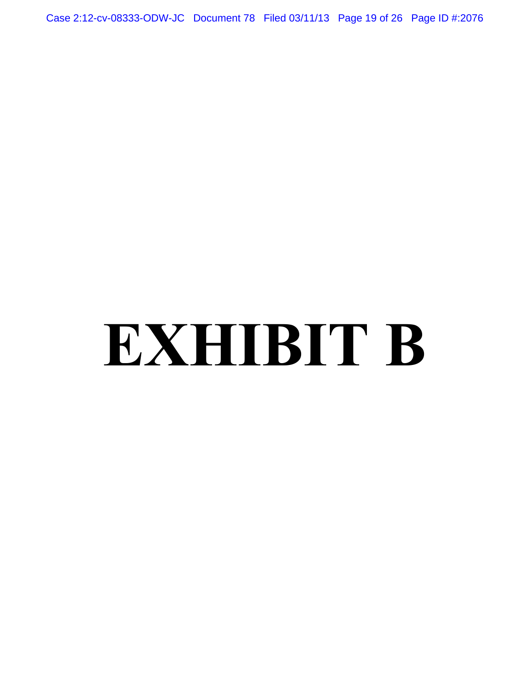Case 2:12-cv-08333-ODW-JC Document 78 Filed 03/11/13 Page 19 of 26 Page ID #:2076

# **EXHIBIT B**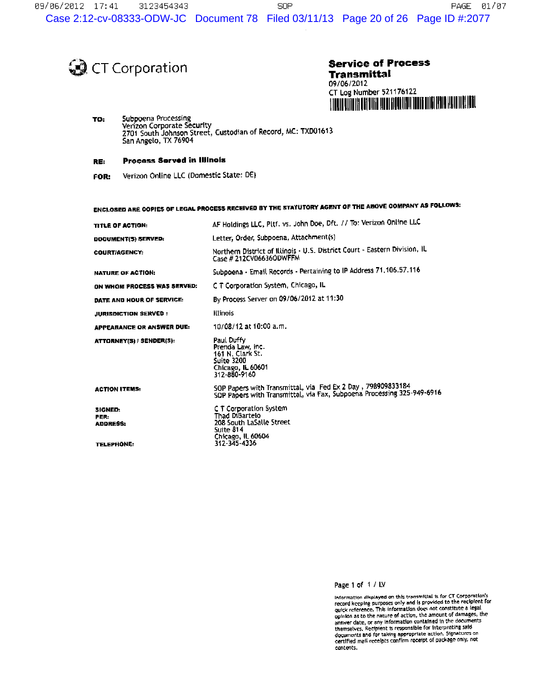**O** CT Corporation

**Service of Process Transmittal** 09/06/2012 CT Log Number 521176122 <u>TTELLE LITTERE DEI DIER HEDE FICHT HEILE DIER DIER HEDE HALD HAT HET HET </u>

TO: Subpoena Processing Verizon Corporate Security<br>2701 South Johnson Street, Custodian of Record, MC: TXD01613<br>San Angelo, TX 76904

#### **Process Served in Illinois** RE:

Verizon Online LLC (Domestic State: DE) FOR:

| ENCLOSED ARE COPIES OF LEGAL PROCESS RECEIVED BY THE STATUTORY AGENT OF THE ABOVE COMPANY AS FOLLOWS: |                                                                                                                                       |  |  |
|-------------------------------------------------------------------------------------------------------|---------------------------------------------------------------------------------------------------------------------------------------|--|--|
| TITLE OF ACTION:                                                                                      | AF Holdings LLC, Pltf. vs. John Doe, Dft. // To: Verizon Online LLC                                                                   |  |  |
| DOCUMENT(5) SERVED:                                                                                   | Letter, Order, Subpoena, Attachment(s)                                                                                                |  |  |
| <b>COURT/AGENCY:</b>                                                                                  | Northern District of Illinois - U.S. District Court - Eastern Division, IL<br>Case # 212CV06636ODWFFM                                 |  |  |
| <b>NATURE OF ACTION:</b>                                                                              | Subpoena - Email Records - Pertaining to IP Address 71.106.57.116                                                                     |  |  |
| ON WHOM PROCESS WAS SERVED:                                                                           | C T Corporation System, Chicago, IL                                                                                                   |  |  |
| DATE AND HOUR OF SERVICE.                                                                             | By Process Server on 09/06/2012 at 11:30                                                                                              |  |  |
| <b>JURISDICTION SERVED:</b>                                                                           | <b>Illinois</b>                                                                                                                       |  |  |
| <b>APPEARANCE OR ANSWER DUE:</b>                                                                      | 10/08/12 at 10:00 a.m.                                                                                                                |  |  |
| ATTORNEY(S) / SENDER(S):                                                                              | Paul Duffy<br>Prenda Law, Inc.<br>161 N. Clark St.<br>Suite 3200<br><b>Chicago, IL 60601</b><br>317-880-9160                          |  |  |
| <b>ACTION ITEMS:</b>                                                                                  | SOP Papers with Transmittal, via Fed Ex 2 Day, 798909833184<br>SOP Papers with Transmittal, via Fax, Subpoena Processing 325-949-6916 |  |  |
| SIGNED:<br>PER:<br><b>ADDRESS:</b><br><b>TELEPHONE:</b>                                               | C T Corporation System<br>Thad DiBartelo<br>208 South LaSalle Street<br>Suite 814<br>Chicago, IL 60604<br>312-345-4336                |  |  |

Page 1 of 1 / LV

Information displayed on this transmittal is for CT Corporation's<br>record keeping purposes only and is provided to the recipient for<br>quick reference. This information does not constitute a legal opinion as to the nature of action, the amount of damages, the<br>answer date, or any information contained in the documents<br>answer date, or any information contained in this documents maries save, we mission in comparison to interpreting said<br>themselves. Recipient is responsible for interpreting said<br>documents and for taking appropriate action. Signatures on<br>certified mall receipts confirm receipt of pa contents.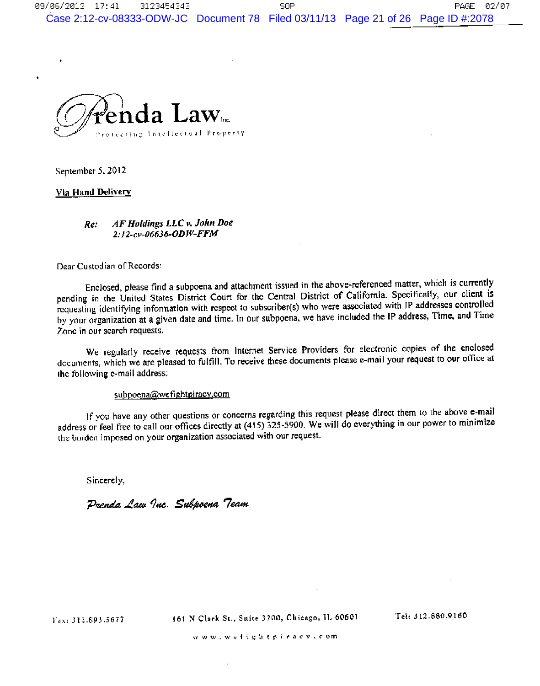

September 5, 2012

# Via Hand Delivery

### AF Holdings LLC v. John Doe Re: 2:12-cv-06636-ODW-FFM

Dear Custodian of Records:

Enclosed, please find a subpoena and attachment issued in the above-referenced matter, which is currently pending in the United States District Court for the Central District of California. Specifically, our client is requesting identifying information with respect to subscriber(s) who were associated with IP addresses controlled by your organization at a given date and time. In our subpoena, we have included the IP address, Time, and Time Zone in our search requests.

We regularly receive requests from Internet Service Providers for electronic copies of the enclosed documents, which we are pleased to fulfill. To receive these documents please e-mail your request to our office at the following e-mail address:

# subpoena@wefightpiracy.com

If you have any other questions or concerns regarding this request please direct them to the above e-mail address or feel free to call our offices directly at (415) 325-5900. We will do everything in our power to minimize the burden imposed on your organization associated with our request.

Sincerely,

Prenda Law Inc. Subpoena Team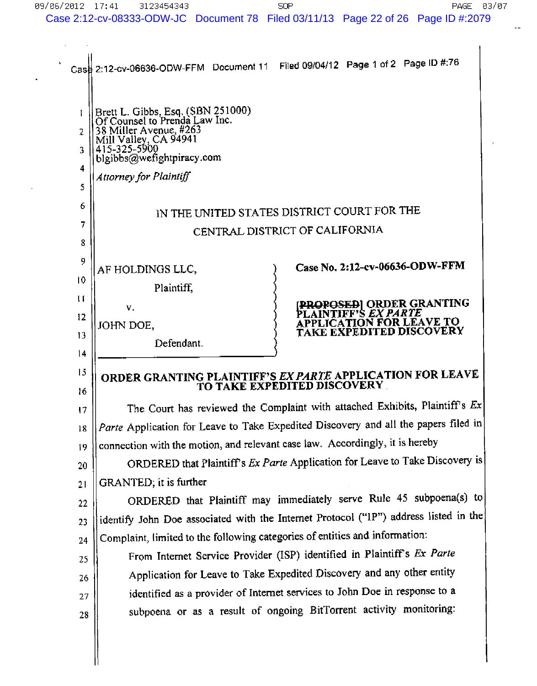$\mathbf{u}^{\mathrm{in}}$ 

 $\Delta$ 

 $\hat{\mathbf{r}}$ 

| $\mathbf{r}$<br>Case            | Filed 09/04/12 Page 1 of 2 Page ID #:76<br>2:12-cv-06636-ODW-FFM Document 11                                                                                                                                                                                                  |  |  |
|---------------------------------|-------------------------------------------------------------------------------------------------------------------------------------------------------------------------------------------------------------------------------------------------------------------------------|--|--|
| L<br>2<br>3<br>4<br>5<br>6<br>7 | Brett L. Gibbs, Esq. (SBN 251000)<br>Of Counsel to Prenda Law Inc.<br>38 Miller Avenue, #263<br>Mill Valley, CA 94941<br>415-325-5900<br>blgibbs@wefightpiracy.com<br>Attorney for Plaintiff<br>IN THE UNITED STATES DISTRICT COURT FOR THE<br>CENTRAL DISTRICT OF CALIFORNIA |  |  |
| 8                               |                                                                                                                                                                                                                                                                               |  |  |
| 9<br>10                         | Case No. 2:12-cv-06636-ODW-FFM<br>AF HOLDINGS LLC,<br>Plaintiff.                                                                                                                                                                                                              |  |  |
| $\mathbf{H}$<br>12<br>13<br>14  | <b>PROPOSED  ORDER GRANTING</b><br>V.<br>AINTIFF'S <i>EX PARTE</i><br><b>APPLICATION FOR LEAVE TO</b><br>JOHN DOE,<br><b>TAKE EXPEDITED DISCOVERY</b><br>Defendant.                                                                                                           |  |  |
| 15<br>16                        | ORDER GRANTING PLAINTIFF'S EX PARTE APPLICATION FOR LEAVE<br>TO TAKE EXPEDITED DISCOVERY                                                                                                                                                                                      |  |  |
| 17                              | The Court has reviewed the Complaint with attached Exhibits, Plaintiff's $Ex$                                                                                                                                                                                                 |  |  |
| 18                              | Parte Application for Leave to Take Expedited Discovery and all the papers filed in                                                                                                                                                                                           |  |  |
| 19                              | connection with the motion, and relevant case law. Accordingly, it is hereby                                                                                                                                                                                                  |  |  |
| 20                              | ORDERED that Plaintiff's Ex Parte Application for Leave to Take Discovery is                                                                                                                                                                                                  |  |  |
| 21                              | GRANTED; it is further                                                                                                                                                                                                                                                        |  |  |
| 22                              | ORDERED that Plaintiff may immediately serve Rule 45 subpoena(s) to                                                                                                                                                                                                           |  |  |
| 23                              | identify John Doe associated with the Internet Protocol ("IP") address listed in the                                                                                                                                                                                          |  |  |
| 24                              | Complaint, limited to the following categories of entities and information:                                                                                                                                                                                                   |  |  |
| 25                              | From Internet Service Provider (ISP) identified in Plaintiff's Ex Parte                                                                                                                                                                                                       |  |  |
| 26                              | Application for Leave to Take Expedited Discovery and any other entity                                                                                                                                                                                                        |  |  |
| 27                              | identified as a provider of Internet services to John Doe in response to a                                                                                                                                                                                                    |  |  |
| 28                              | subpoena or as a result of ongoing BitTorrent activity monitoring:                                                                                                                                                                                                            |  |  |
|                                 |                                                                                                                                                                                                                                                                               |  |  |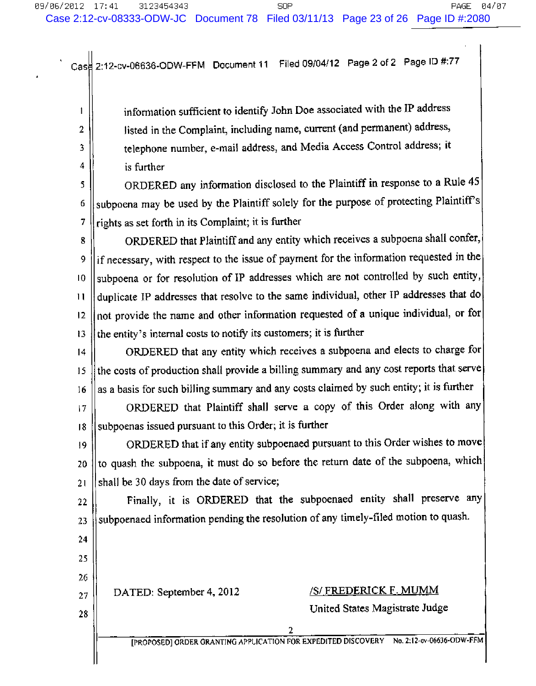2:12-cv-06636-ODW-FFM Document 11 Filed 09/04/12 Page 2 of 2 Page ID #:77 Case

information sufficient to identify John Doe associated with the IP address listed in the Complaint, including name, current (and permanent) address, telephone number, e-mail address, and Media Access Control address; it is further

ORDERED any information disclosed to the Plaintiff in response to a Rule 45 5 subpoena may be used by the Plaintiff solely for the purpose of protecting Plaintiff's 6 rights as set forth in its Complaint; it is further 7

ORDERED that Plaintiff and any entity which receives a subpoena shall confer, 8 if necessary, with respect to the issue of payment for the information requested in the 9 subpoena or for resolution of IP addresses which are not controlled by such entity,  $10$ duplicate IP addresses that resolve to the same individual, other IP addresses that do  $\mathbf{1}$ not provide the name and other information requested of a unique individual, or for  $12$ the entity's internal costs to notify its customers; it is further  $13$ 

ORDERED that any entity which receives a subpoena and elects to charge for  $14$ the costs of production shall provide a billing summary and any cost reports that serve 15 as a basis for such billing summary and any costs claimed by such entity; it is further 16

ORDERED that Plaintiff shall serve a copy of this Order along with any  $|7$ subpoenas issued pursuant to this Order; it is further  $18$ 

ORDERED that if any entity subpoenaed pursuant to this Order wishes to move  $|9$ to quash the subpoena, it must do so before the return date of the subpoena, which 20 shall be 30 days from the date of service; 21

22 23

24

25

26

27

28

1

 $\overline{2}$ 

3 4

> Finally, it is ORDERED that the subpoenaed entity shall preserve any subpoenaed information pending the resolution of any timely-filed motion to quash.

DATED: September 4, 2012

# **/S/ FREDERICK F. MUMM**

United States Magistrate Judge

 $\overline{2}$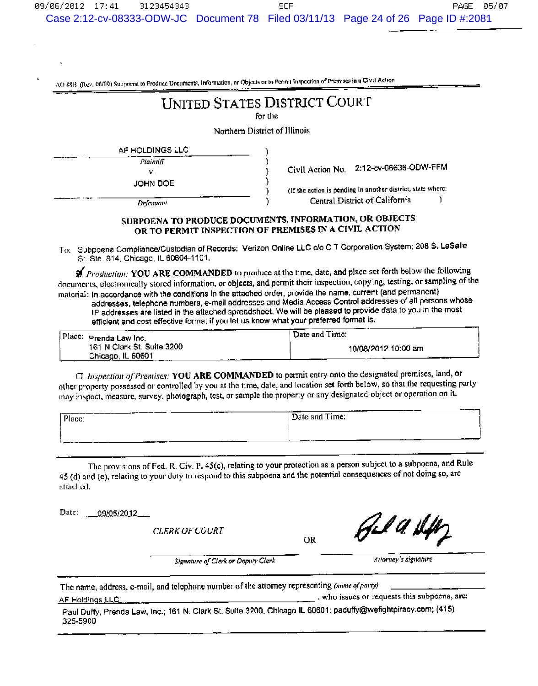AO 88B (Rev. 06/09) Subpoont to Produce Documents, Information, or Objects or to Pennit Inspection of Premises in a Civil Action

# **UNITED STATES DISTRICT COURT**

for the

Northern District of Illinois

| AF HOLDINGS LLC |  |
|-----------------|--|
| Plaintiff       |  |
| v               |  |
| IOHN DOE        |  |

Civil Action No. 2:12-cv-06636-ODW-FFM

f.

(If the action is pending in another district, state where: Central District of California

Delendam

# SUBPOENA TO PRODUCE DOCUMENTS, INFORMATION, OR OBJECTS OR TO PERMIT INSPECTION OF PREMISES IN A CIVIL ACTION

٦

To: Subpoena Compliance/Custodian of Records: Verizon Online LLC c/o C T Corporation System; 208 S. LaSalle St. Ste. 814, Chicago, IL 60604-1101.

₩ Production: YOU ARE COMMANDED to produce at the time, date, and place set forth below the following documents, electronically stored information, or objects, and permit their inspection, copying, testing, or sampling of the material: In accordance with the conditions in the attached order, provide the name, current (and permanent) addresses, telephone numbers, e-mail addresses and Media Access Control addresses of all persons whose IP addresses are listed in the attached spreadsheet. We will be pleased to provide data to you in the most efficient and cost effective format if you let us know what your preferred format is.

| Place: | Prenda Law Inc.            | Date and Time:      |
|--------|----------------------------|---------------------|
|        | 161 N Clark St. Suite 3200 | 10/08/2012 10:00 am |
|        | Chicago, IL 60601          |                     |

 $\Box$  Inspection of Premises: YOU ARE COMMANDED to permit entry onto the designated premises, land, or other property possessed or controlled by you at the time, date, and location set forth below, so that the requesting party may inspect, measure, survey, photograph, test, or sample the property or any designated object or operation on it.

| Place:  |              | _______<br>__________________<br>Date and Time: |
|---------|--------------|-------------------------------------------------|
|         |              |                                                 |
| _______ | .<br>_______ | __________<br>------                            |

The provisions of Fed. R. Civ. P. 45(c), relating to your protection as a person subject to a subpoena, and Rule 45 (d) and (e), relating to your duty to respond to this subpoena and the potential consequences of not doing so, are attached.

Date: \_ \_ 09/05/2012

AF Holdings LLC

**CLERK OF COURT** 

**OR** 

hJ A. fl.

Attorney's signature

Signature of Clerk or Deputy Clerk

The name, address, e-mail, and telephone number of the attorney representing (name of party)

, who issues or requests this subpoena, are:

Paul Duffy, Prenda Law, Inc.; 161 N. Clark St. Suite 3200, Chicago IL 60601; paduffy@wefightpiracy.com; (415) 325-5900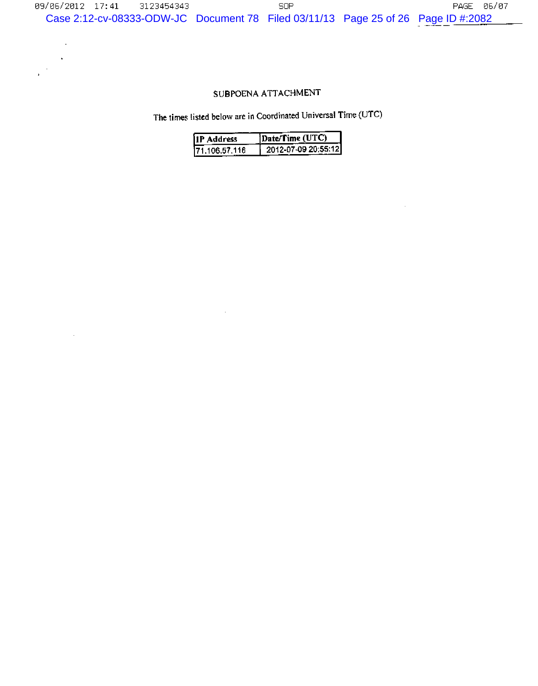# SUBPOENA ATTACHMENT

 $\sim$  $\epsilon$ 

 $\mathcal{A}$ 

 $\ddot{\phantom{1}}$ 

The times listed below are in Coordinated Universal Time (UTC)

| Address        | <b>Nate/Time (UTC)</b> |
|----------------|------------------------|
| 171.106.57.116 | 2012-07-09 20:55:12    |

 $\sim$